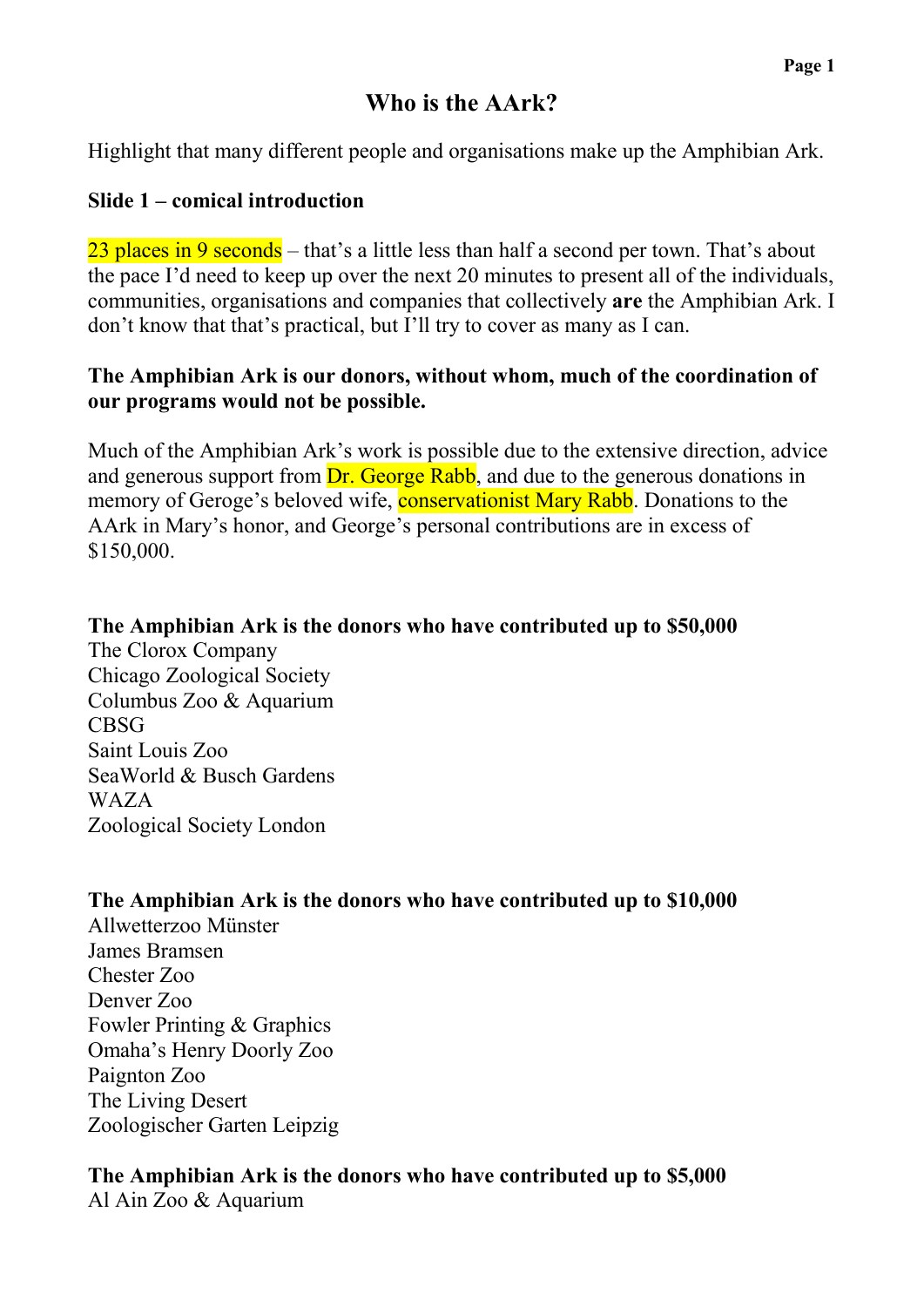# **Who is the AArk?**

Highlight that many different people and organisations make up the Amphibian Ark.

#### **Slide 1 – comical introduction**

23 places in 9 seconds – that's a little less than half a second per town. That's about the pace I'd need to keep up over the next 20 minutes to present all of the individuals, communities, organisations and companies that collectively **are** the Amphibian Ark. I don't know that that's practical, but I'll try to cover as many as I can.

#### **The Amphibian Ark is our donors, without whom, much of the coordination of our programs would not be possible.**

Much of the Amphibian Ark's work is possible due to the extensive direction, advice and generous support from **Dr.** George Rabb, and due to the generous donations in memory of Geroge's beloved wife, **conservationist Mary Rabb**. Donations to the AArk in Mary's honor, and George's personal contributions are in excess of \$150,000.

# **The Amphibian Ark is the donors who have contributed up to \$50,000**

The Clorox Company Chicago Zoological Society Columbus Zoo & Aquarium CBSG Saint Louis Zoo SeaWorld & Busch Gardens WAZA Zoological Society London

### **The Amphibian Ark is the donors who have contributed up to \$10,000**

Allwetterzoo Münster James Bramsen Chester Zoo Denver Zoo Fowler Printing & Graphics Omaha's Henry Doorly Zoo Paignton Zoo The Living Desert Zoologischer Garten Leipzig

# **The Amphibian Ark is the donors who have contributed up to \$5,000**

Al Ain Zoo & Aquarium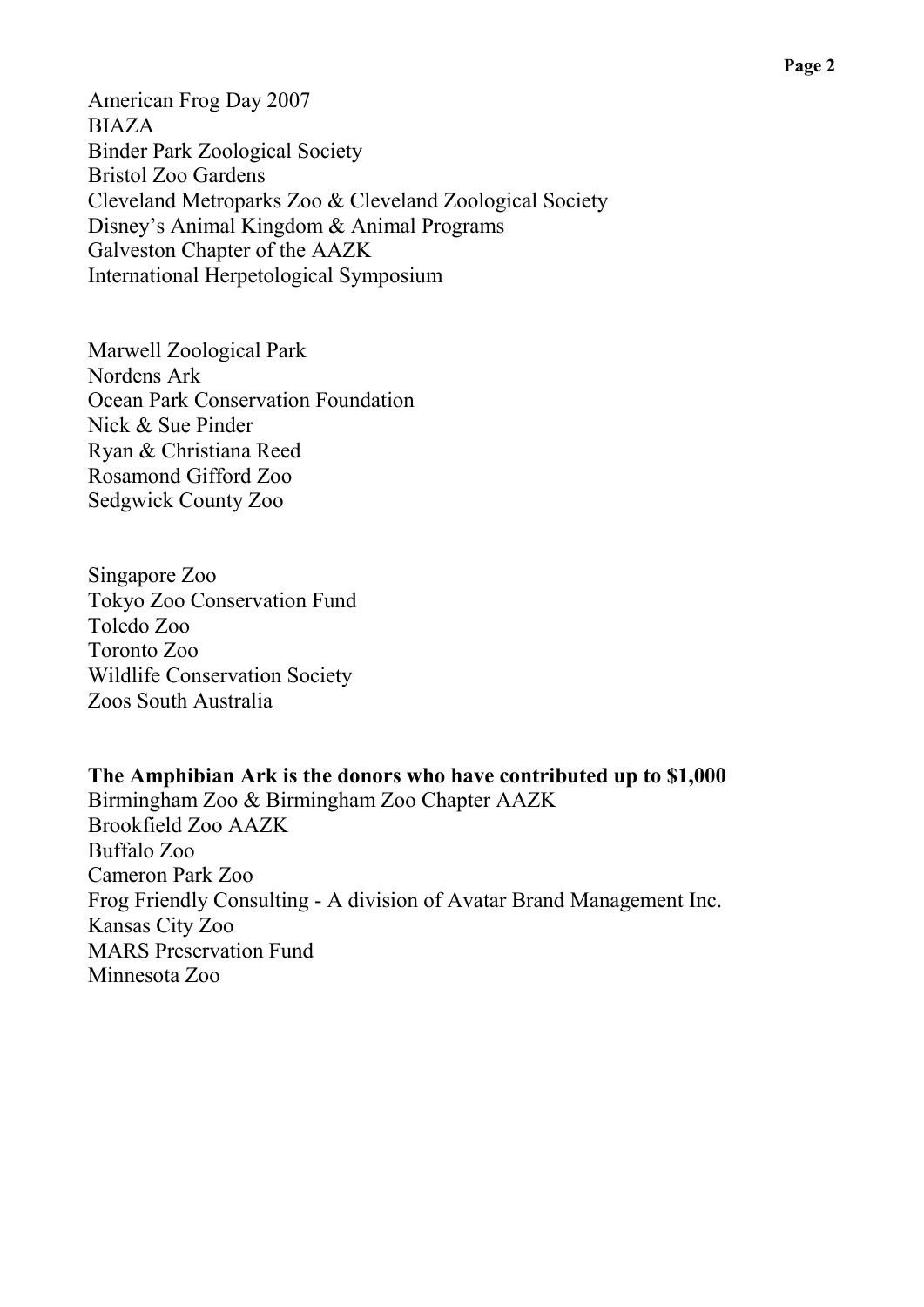American Frog Day 2007 BIAZA Binder Park Zoological Society Bristol Zoo Gardens Cleveland Metroparks Zoo & Cleveland Zoological Society Disney's Animal Kingdom & Animal Programs Galveston Chapter of the AAZK International Herpetological Symposium

Marwell Zoological Park Nordens Ark Ocean Park Conservation Foundation Nick & Sue Pinder Ryan & Christiana Reed Rosamond Gifford Zoo Sedgwick County Zoo

Singapore Zoo Tokyo Zoo Conservation Fund Toledo Zoo Toronto Zoo Wildlife Conservation Society Zoos South Australia

**The Amphibian Ark is the donors who have contributed up to \$1,000** Birmingham Zoo & Birmingham Zoo Chapter AAZK Brookfield Zoo AAZK Buffalo Zoo Cameron Park Zoo Frog Friendly Consulting - A division of Avatar Brand Management Inc. Kansas City Zoo MARS Preservation Fund Minnesota Zoo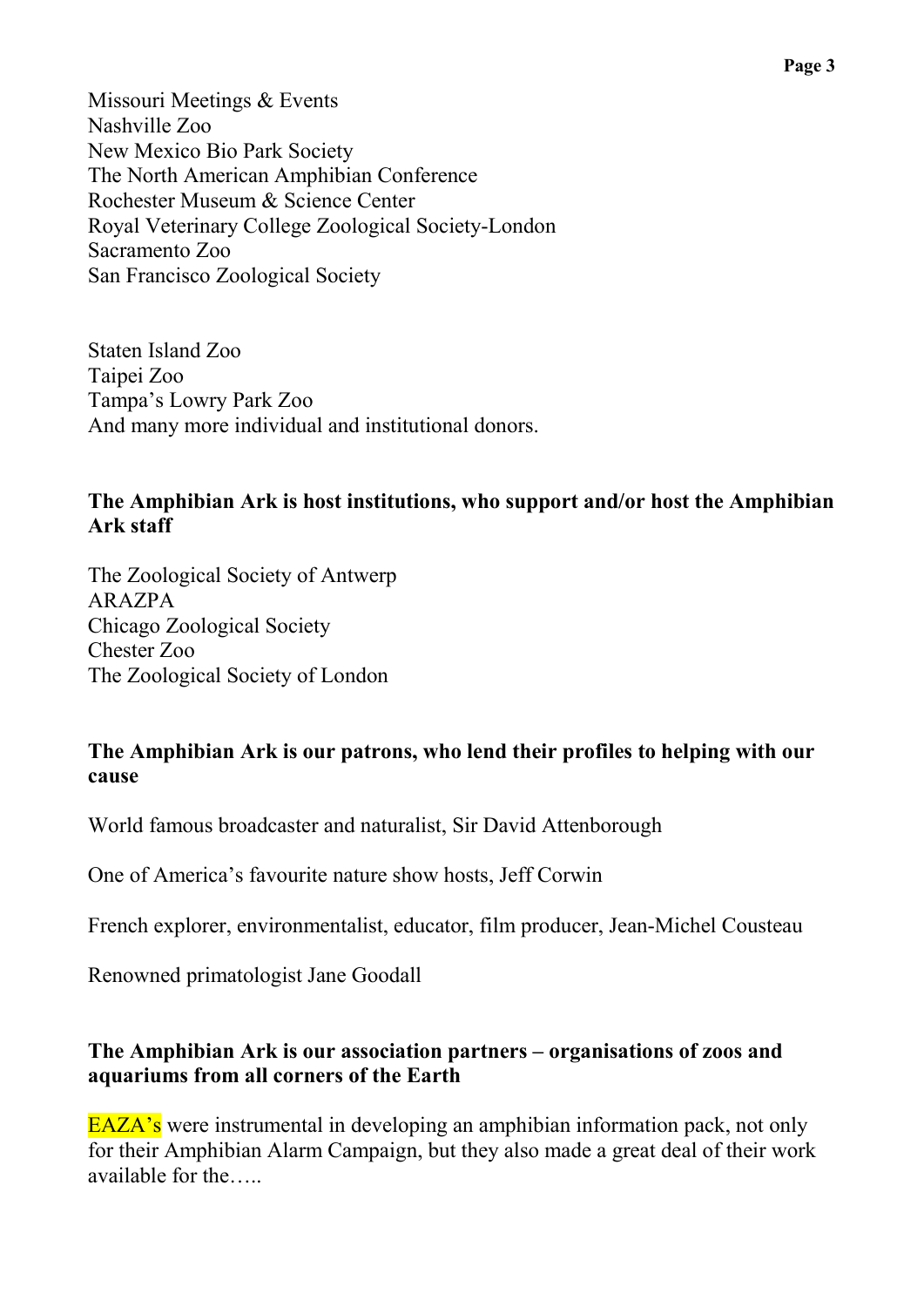Missouri Meetings & Events Nashville Zoo New Mexico Bio Park Society The North American Amphibian Conference Rochester Museum & Science Center Royal Veterinary College Zoological Society-London Sacramento Zoo San Francisco Zoological Society

Staten Island Zoo Taipei Zoo Tampa's Lowry Park Zoo And many more individual and institutional donors.

#### **The Amphibian Ark is host institutions, who support and/or host the Amphibian Ark staff**

The Zoological Society of Antwerp ARAZPA Chicago Zoological Society Chester Zoo The Zoological Society of London

#### **The Amphibian Ark is our patrons, who lend their profiles to helping with our cause**

World famous broadcaster and naturalist, Sir David Attenborough

One of America's favourite nature show hosts, Jeff Corwin

French explorer, environmentalist, educator, film producer, Jean-Michel Cousteau

Renowned primatologist Jane Goodall

### **The Amphibian Ark is our association partners – organisations of zoos and aquariums from all corners of the Earth**

EAZA's were instrumental in developing an amphibian information pack, not only for their Amphibian Alarm Campaign, but they also made a great deal of their work available for the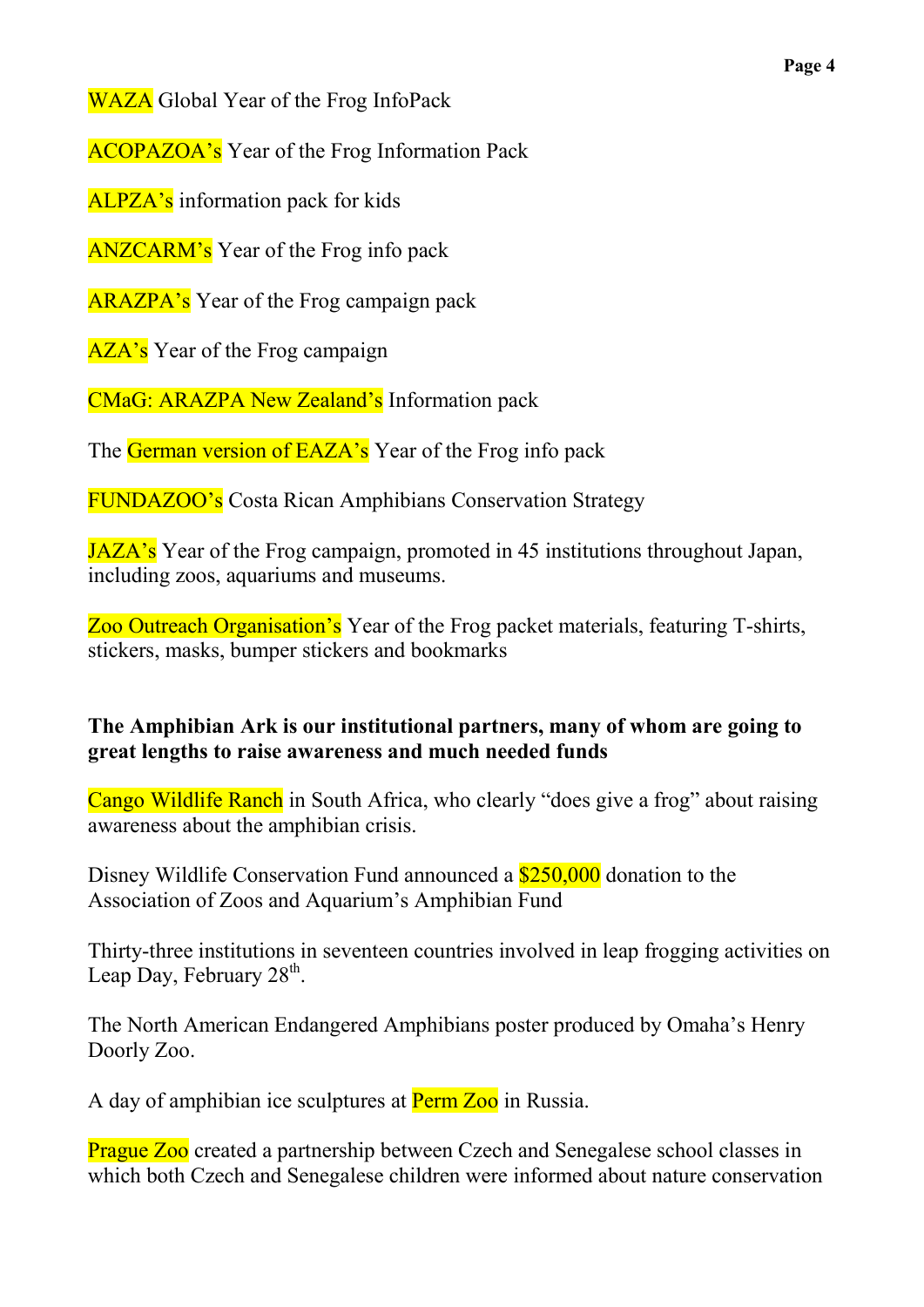WAZA Global Year of the Frog InfoPack

ACOPAZOA's Year of the Frog Information Pack

ALPZA's information pack for kids

ANZCARM's Year of the Frog info pack

ARAZPA's Year of the Frog campaign pack

AZA's Year of the Frog campaign

CMaG: ARAZPA New Zealand's Information pack

The German version of EAZA's Year of the Frog info pack

FUNDAZOO's Costa Rican Amphibians Conservation Strategy

JAZA's Year of the Frog campaign, promoted in 45 institutions throughout Japan, including zoos, aquariums and museums.

Zoo Outreach Organisation's Year of the Frog packet materials, featuring T-shirts, stickers, masks, bumper stickers and bookmarks

## **The Amphibian Ark is our institutional partners, many of whom are going to great lengths to raise awareness and much needed funds**

Cango Wildlife Ranch in South Africa, who clearly "does give a frog" about raising awareness about the amphibian crisis.

Disney Wildlife Conservation Fund announced a **\$250,000** donation to the Association of Zoos and Aquarium's Amphibian Fund

Thirty-three institutions in seventeen countries involved in leap frogging activities on Leap Day, February 28<sup>th</sup>.

The North American Endangered Amphibians poster produced by Omaha's Henry Doorly Zoo.

A day of amphibian ice sculptures at Perm Zoo in Russia.

**Prague Zoo** created a partnership between Czech and Senegalese school classes in which both Czech and Senegalese children were informed about nature conservation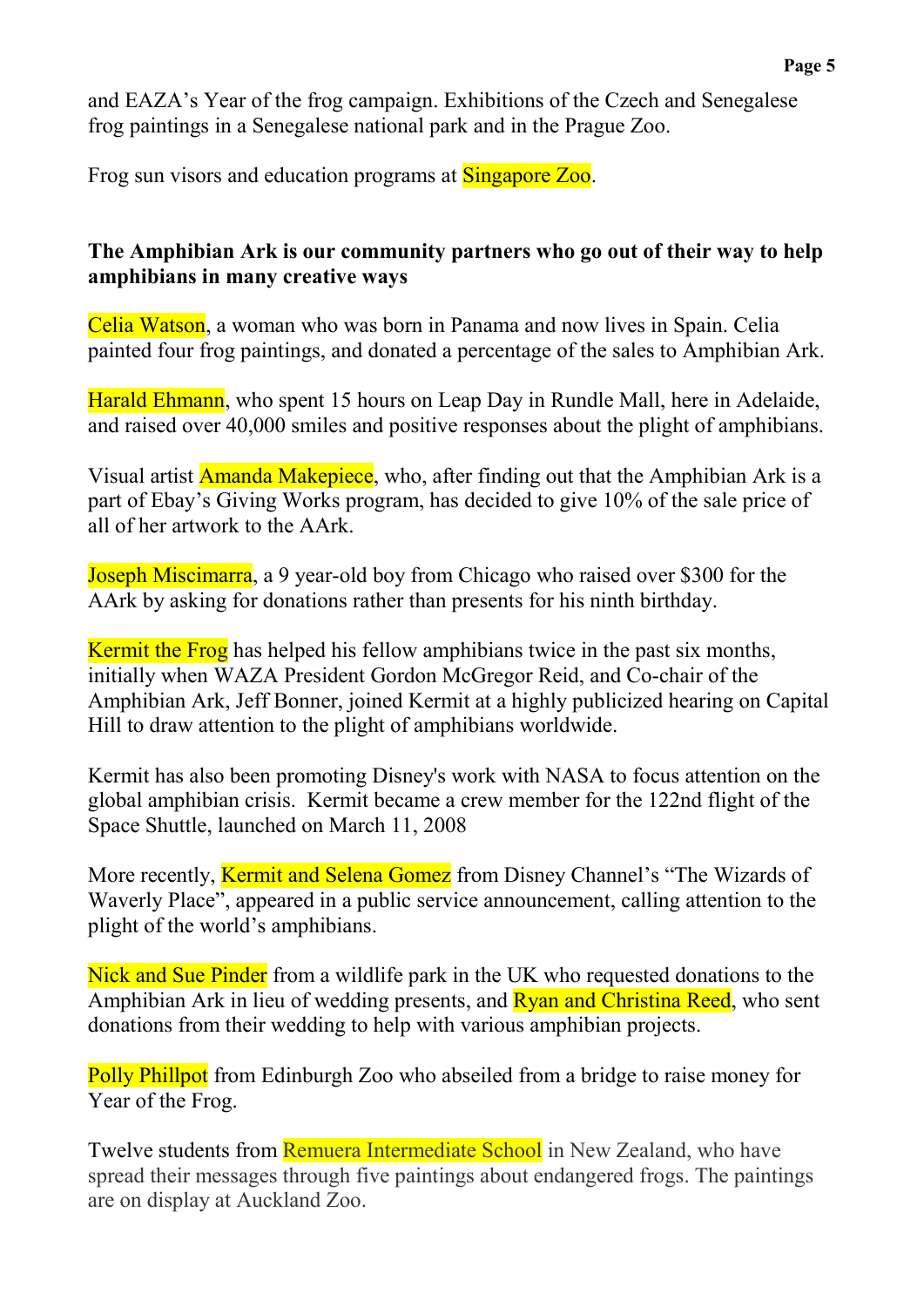and EAZA's Year of the frog campaign. Exhibitions of the Czech and Senegalese frog paintings in a Senegalese national park and in the Prague Zoo.

Frog sun visors and education programs at Singapore Zoo.

#### **The Amphibian Ark is our community partners who go out of their way to help amphibians in many creative ways**

Celia Watson, a woman who was born in Panama and now lives in Spain. Celia painted four frog paintings, and donated a percentage of the sales to Amphibian Ark.

Harald Ehmann, who spent 15 hours on Leap Day in Rundle Mall, here in Adelaide, and raised over 40,000 smiles and positive responses about the plight of amphibians.

Visual artist **Amanda Makepiece**, who, after finding out that the Amphibian Ark is a part of Ebay's Giving Works program, has decided to give 10% of the sale price of all of her artwork to the AArk.

Joseph Miscimarra, a 9 year-old boy from Chicago who raised over \$300 for the AArk by asking for donations rather than presents for his ninth birthday.

Kermit the Frog has helped his fellow amphibians twice in the past six months, initially when WAZA President Gordon McGregor Reid, and Co-chair of the Amphibian Ark, Jeff Bonner, joined Kermit at a highly publicized hearing on Capital Hill to draw attention to the plight of amphibians worldwide.

Kermit has also been promoting Disney's work with NASA to focus attention on the global amphibian crisis. Kermit became a crew member for the 122nd flight of the Space Shuttle, launched on March 11, 2008

More recently, Kermit and Selena Gomez from Disney Channel's "The Wizards of Waverly Place", appeared in a public service announcement, calling attention to the plight of the world's amphibians.

Nick and Sue Pinder from a wildlife park in the UK who requested donations to the Amphibian Ark in lieu of wedding presents, and **Ryan and Christina Reed**, who sent donations from their wedding to help with various amphibian projects.

Polly Phillpot from Edinburgh Zoo who abseiled from a bridge to raise money for Year of the Frog.

Twelve students from Remuera Intermediate School in New Zealand, who have spread their messages through five paintings about endangered frogs. The paintings are on display at Auckland Zoo.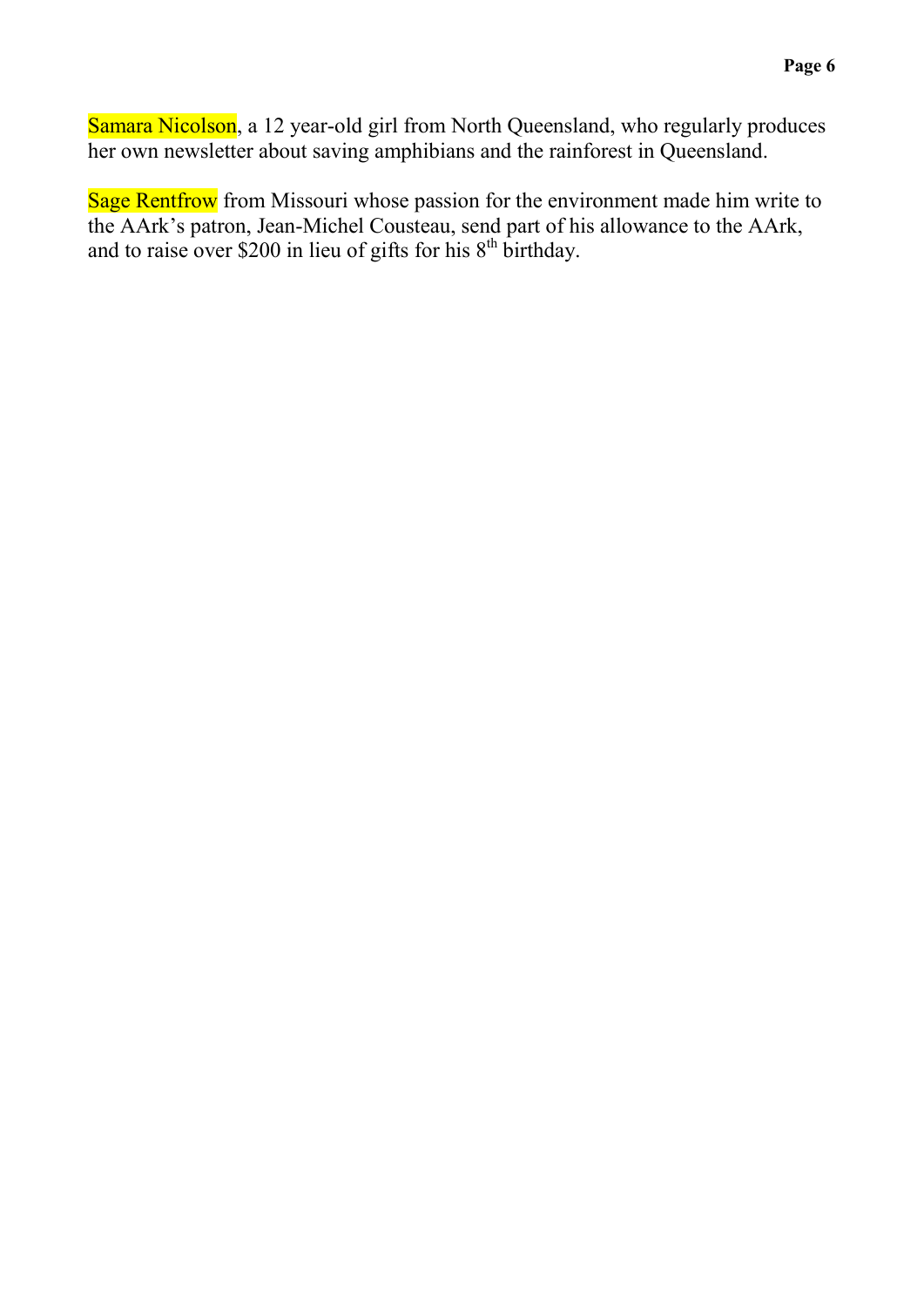Samara Nicolson, a 12 year-old girl from North Queensland, who regularly produces her own newsletter about saving amphibians and the rainforest in Queensland.

Sage Rentfrow from Missouri whose passion for the environment made him write to the AArk's patron, Jean-Michel Cousteau, send part of his allowance to the AArk, and to raise over \$200 in lieu of gifts for his  $8<sup>th</sup>$  birthday.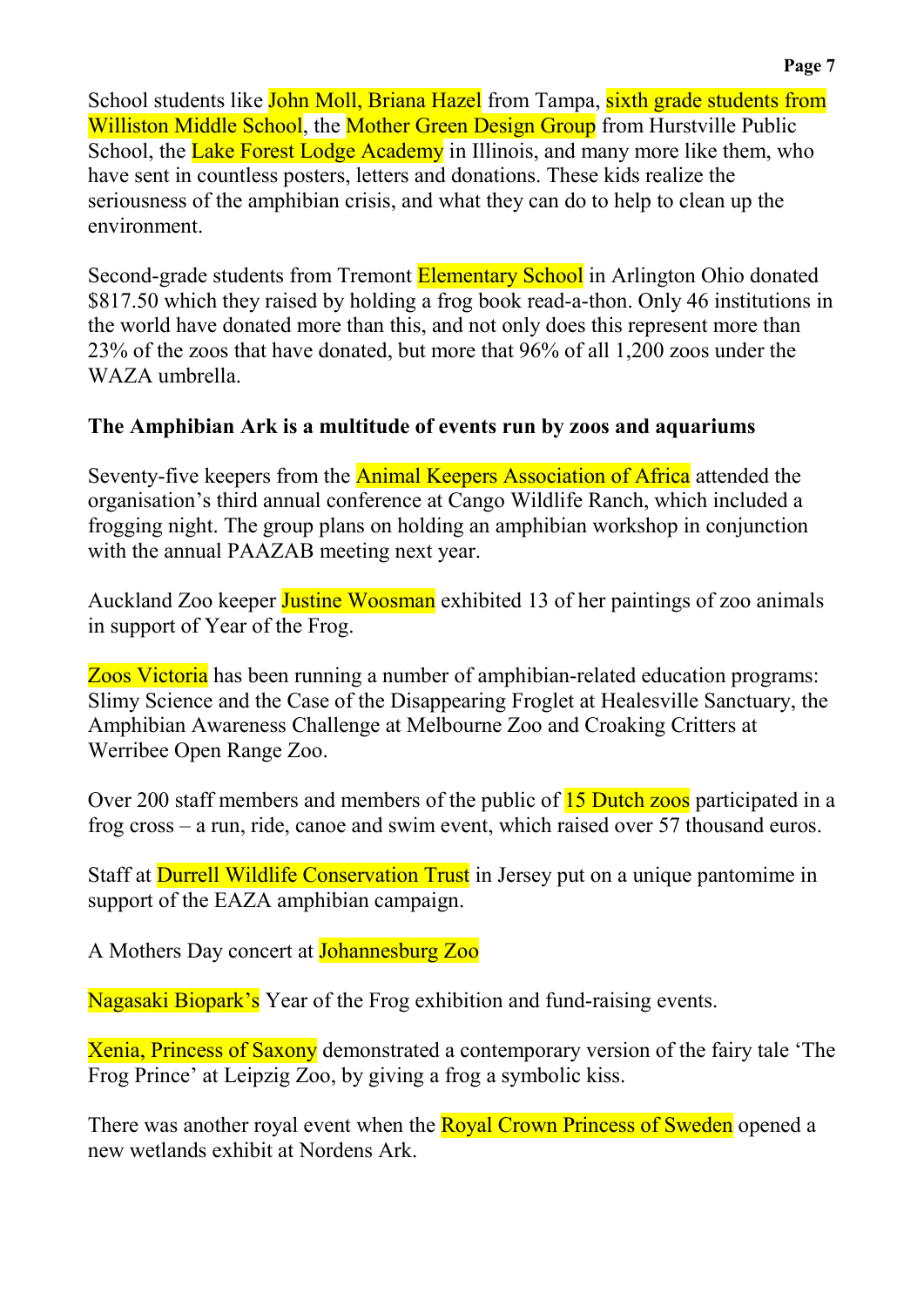School students like John Moll, Briana Hazel from Tampa, sixth grade students from Williston Middle School, the Mother Green Design Group from Hurstville Public School, the Lake Forest Lodge Academy in Illinois, and many more like them, who have sent in countless posters, letters and donations. These kids realize the seriousness of the amphibian crisis, and what they can do to help to clean up the environment.

Second-grade students from Tremont Elementary School in Arlington Ohio donated \$817.50 which they raised by holding a frog book read-a-thon. Only 46 institutions in the world have donated more than this, and not only does this represent more than 23% of the zoos that have donated, but more that 96% of all 1,200 zoos under the WAZA umbrella.

# **The Amphibian Ark is a multitude of events run by zoos and aquariums**

Seventy-five keepers from the **Animal Keepers Association of Africa** attended the organisation's third annual conference at Cango Wildlife Ranch, which included a frogging night. The group plans on holding an amphibian workshop in conjunction with the annual PAAZAB meeting next year.

Auckland Zoo keeper **Justine Woosman** exhibited 13 of her paintings of zoo animals in support of Year of the Frog.

Zoos Victoria has been running a number of amphibian-related education programs: Slimy Science and the Case of the Disappearing Froglet at Healesville Sanctuary, the Amphibian Awareness Challenge at Melbourne Zoo and Croaking Critters at Werribee Open Range Zoo.

Over 200 staff members and members of the public of 15 Dutch zoos participated in a frog cross – a run, ride, canoe and swim event, which raised over 57 thousand euros.

Staff at Durrell Wildlife Conservation Trust in Jersey put on a unique pantomime in support of the EAZA amphibian campaign.

A Mothers Day concert at Johannesburg Zoo

Nagasaki Biopark's Year of the Frog exhibition and fund-raising events.

Xenia, Princess of Saxony demonstrated a contemporary version of the fairy tale 'The Frog Prince' at Leipzig Zoo, by giving a frog a symbolic kiss.

There was another royal event when the **Royal Crown Princess of Sweden** opened a new wetlands exhibit at Nordens Ark.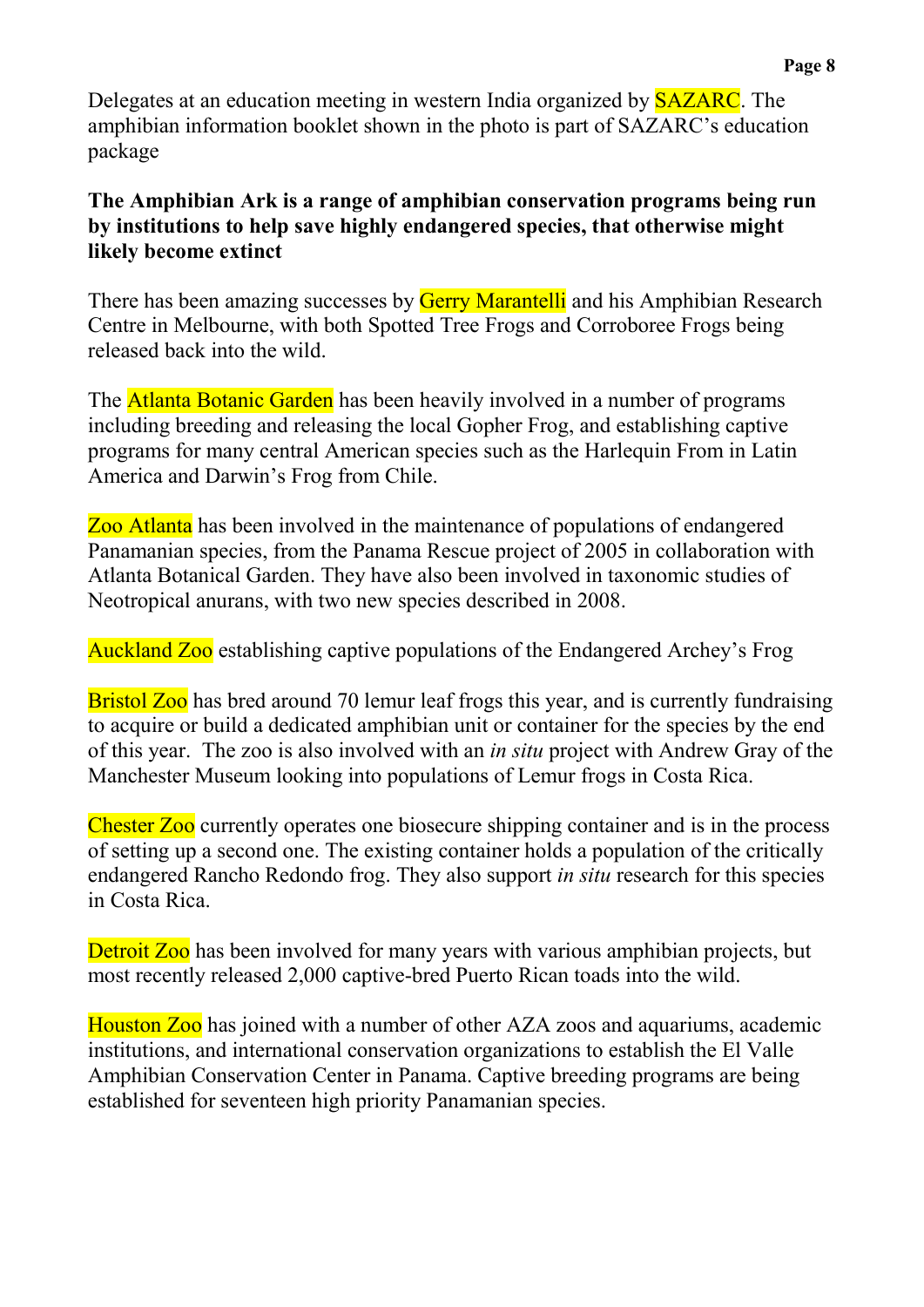Delegates at an education meeting in western India organized by **SAZARC**. The amphibian information booklet shown in the photo is part of SAZARC's education package

### **The Amphibian Ark is a range of amphibian conservation programs being run by institutions to help save highly endangered species, that otherwise might likely become extinct**

There has been amazing successes by **Gerry Marantelli** and his Amphibian Research Centre in Melbourne, with both Spotted Tree Frogs and Corroboree Frogs being released back into the wild.

The **Atlanta Botanic Garden** has been heavily involved in a number of programs including breeding and releasing the local Gopher Frog, and establishing captive programs for many central American species such as the Harlequin From in Latin America and Darwin's Frog from Chile.

Zoo Atlanta has been involved in the maintenance of populations of endangered Panamanian species, from the Panama Rescue project of 2005 in collaboration with Atlanta Botanical Garden. They have also been involved in taxonomic studies of Neotropical anurans, with two new species described in 2008.

Auckland Zoo establishing captive populations of the Endangered Archey's Frog

**Bristol Zoo** has bred around 70 lemur leaf frogs this year, and is currently fundraising to acquire or build a dedicated amphibian unit or container for the species by the end of this year. The zoo is also involved with an *in situ* project with Andrew Gray of the Manchester Museum looking into populations of Lemur frogs in Costa Rica.

Chester Zoo currently operates one biosecure shipping container and is in the process of setting up a second one. The existing container holds a population of the critically endangered Rancho Redondo frog. They also support *in situ* research for this species in Costa Rica.

Detroit Zoo has been involved for many years with various amphibian projects, but most recently released 2,000 captive-bred Puerto Rican toads into the wild.

Houston Zoo has joined with a number of other AZA zoos and aquariums, academic institutions, and international conservation organizations to establish the El Valle Amphibian Conservation Center in Panama. Captive breeding programs are being established for seventeen high priority Panamanian species.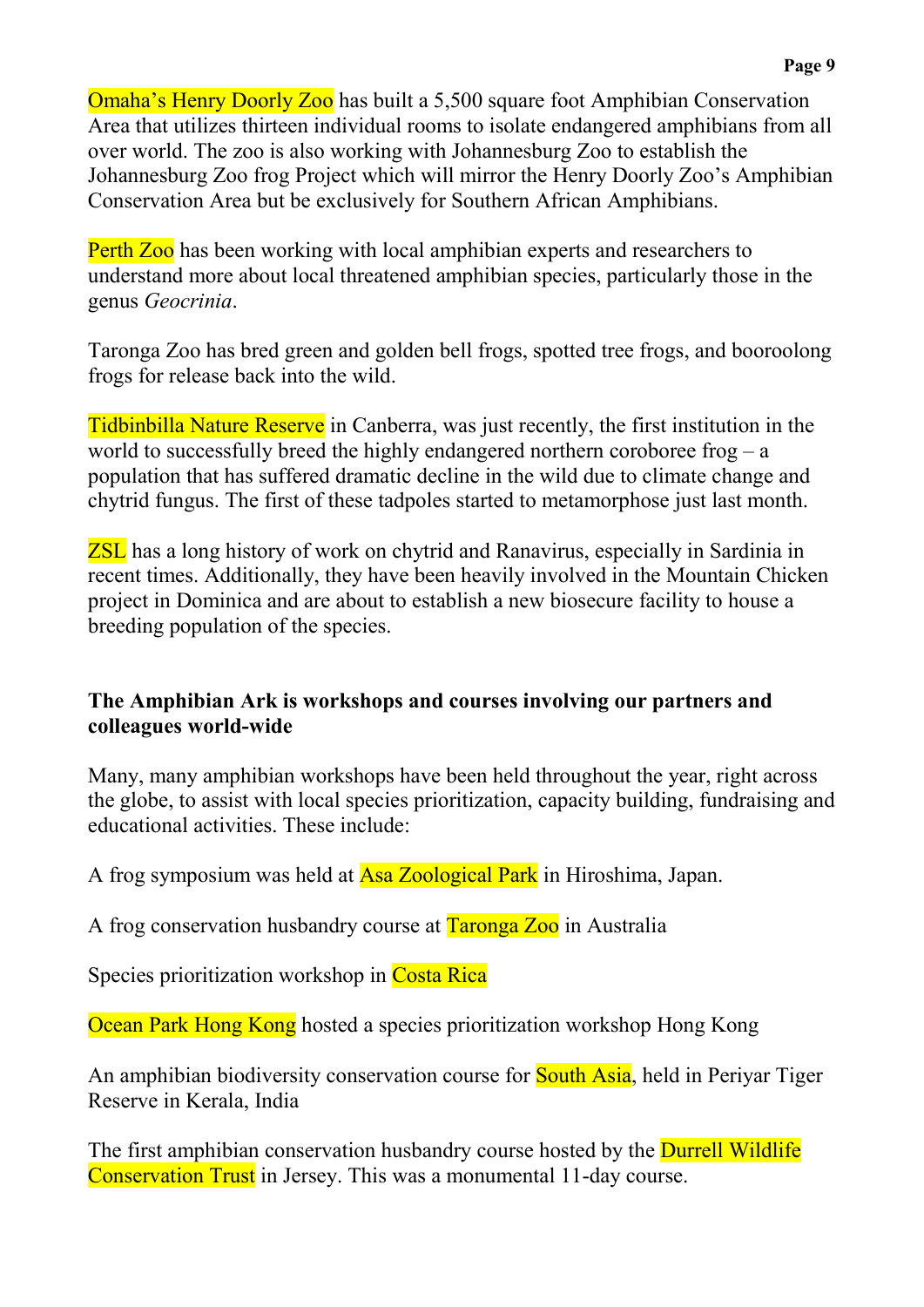Omaha's Henry Doorly Zoo has built a 5,500 square foot Amphibian Conservation Area that utilizes thirteen individual rooms to isolate endangered amphibians from all over world. The zoo is also working with Johannesburg Zoo to establish the Johannesburg Zoo frog Project which will mirror the Henry Doorly Zoo's Amphibian Conservation Area but be exclusively for Southern African Amphibians.

Perth Zoo has been working with local amphibian experts and researchers to understand more about local threatened amphibian species, particularly those in the genus *Geocrinia*.

Taronga Zoo has bred green and golden bell frogs, spotted tree frogs, and booroolong frogs for release back into the wild.

Tidbinbilla Nature Reserve in Canberra, was just recently, the first institution in the world to successfully breed the highly endangered northern coroboree frog – a population that has suffered dramatic decline in the wild due to climate change and chytrid fungus. The first of these tadpoles started to metamorphose just last month.

ZSL has a long history of work on chytrid and Ranavirus, especially in Sardinia in recent times. Additionally, they have been heavily involved in the Mountain Chicken project in Dominica and are about to establish a new biosecure facility to house a breeding population of the species.

## **The Amphibian Ark is workshops and courses involving our partners and colleagues world-wide**

Many, many amphibian workshops have been held throughout the year, right across the globe, to assist with local species prioritization, capacity building, fundraising and educational activities. These include:

A frog symposium was held at Asa Zoological Park in Hiroshima, Japan.

A frog conservation husbandry course at Taronga Zoo in Australia

Species prioritization workshop in Costa Rica

Ocean Park Hong Kong hosted a species prioritization workshop Hong Kong

An amphibian biodiversity conservation course for **South Asia**, held in Periyar Tiger Reserve in Kerala, India

The first amphibian conservation husbandry course hosted by the **Durrell Wildlife** Conservation Trust in Jersey. This was a monumental 11-day course.